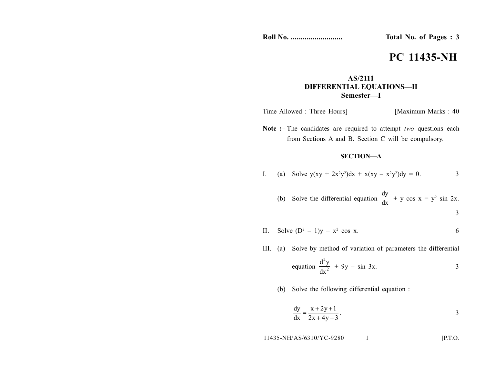**Roll No. .......................... Total No. of Pages : 3**

# **PC 11435-NH**

## **AS/2111 DIFFERENTIAL EQUATIONS—II Semester—I**

Time Allowed : Three Hours] [Maximum Marks : 40]

**Note :–** The candidates are required to attempt *two* questions each from Sections A and B. Section C will be compulsory.

### **SECTION—A**

I. (a) Solve 
$$
y(xy + 2x^2y^2)dx + x(xy - x^2y^2)dy = 0.
$$
 3

(b) Solve the differential equation 
$$
\frac{dy}{dx} + y \cos x = y^2 \sin 2x
$$
.

 $\bar{z}$ 

II. Solve  $(D^2 - 1)y = x^2 \cos x$ . 6

III. (a) Solve by method of variation of parameters the differential

equation 
$$
\frac{d^2y}{dx^2} + 9y = \sin 3x.
$$

(b) Solve the following differential equation :

$$
\frac{dy}{dx} = \frac{x + 2y + 1}{2x + 4y + 3}.
$$

$$
11435-NH/AS/6310/YC-9280 \t\t 1
$$
 [P.T.O.